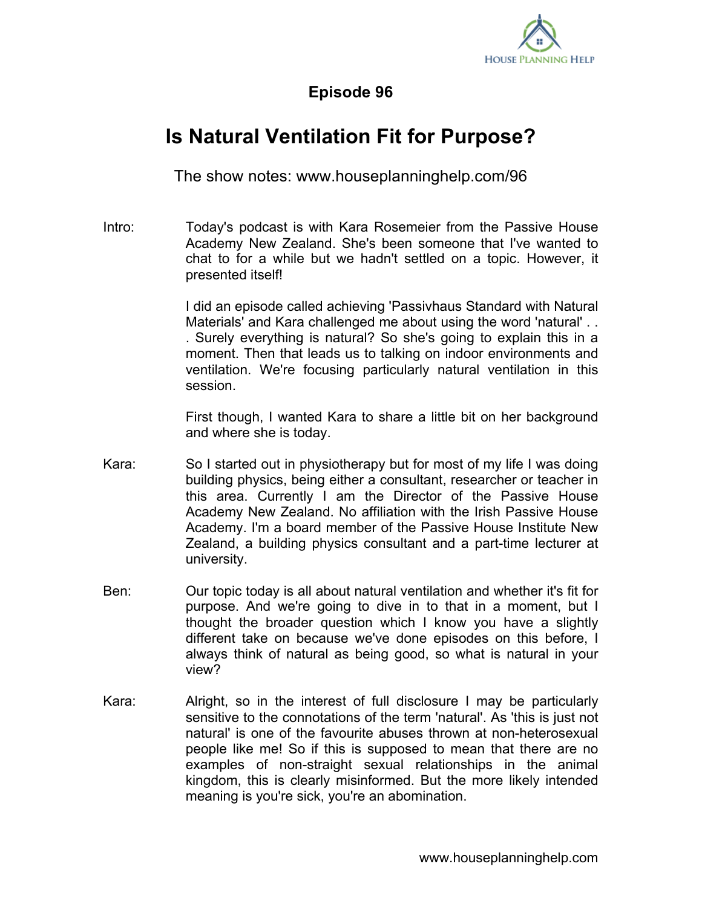

## **Episode 96**

## **Is Natural Ventilation Fit for Purpose?**

The show notes: www.houseplanninghelp.com/96

Intro: Today's podcast is with Kara Rosemeier from the Passive House Academy New Zealand. She's been someone that I've wanted to chat to for a while but we hadn't settled on a topic. However, it presented itself!

> I did an episode called achieving 'Passivhaus Standard with Natural Materials' and Kara challenged me about using the word 'natural' . . . Surely everything is natural? So she's going to explain this in a moment. Then that leads us to talking on indoor environments and ventilation. We're focusing particularly natural ventilation in this session.

> First though, I wanted Kara to share a little bit on her background and where she is today.

- Kara: So I started out in physiotherapy but for most of my life I was doing building physics, being either a consultant, researcher or teacher in this area. Currently I am the Director of the Passive House Academy New Zealand. No affiliation with the Irish Passive House Academy. I'm a board member of the Passive House Institute New Zealand, a building physics consultant and a part-time lecturer at university.
- Ben: Our topic today is all about natural ventilation and whether it's fit for purpose. And we're going to dive in to that in a moment, but I thought the broader question which I know you have a slightly different take on because we've done episodes on this before, I always think of natural as being good, so what is natural in your view?
- Kara: Alright, so in the interest of full disclosure I may be particularly sensitive to the connotations of the term 'natural'. As 'this is just not natural' is one of the favourite abuses thrown at non-heterosexual people like me! So if this is supposed to mean that there are no examples of non-straight sexual relationships in the animal kingdom, this is clearly misinformed. But the more likely intended meaning is you're sick, you're an abomination.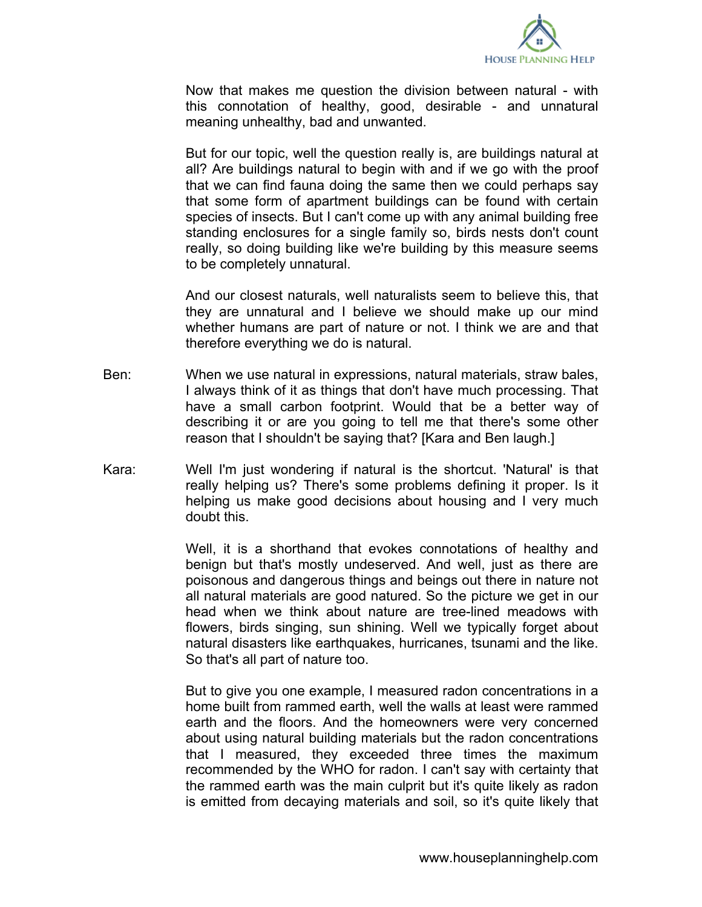

Now that makes me question the division between natural - with this connotation of healthy, good, desirable - and unnatural meaning unhealthy, bad and unwanted.

But for our topic, well the question really is, are buildings natural at all? Are buildings natural to begin with and if we go with the proof that we can find fauna doing the same then we could perhaps say that some form of apartment buildings can be found with certain species of insects. But I can't come up with any animal building free standing enclosures for a single family so, birds nests don't count really, so doing building like we're building by this measure seems to be completely unnatural.

And our closest naturals, well naturalists seem to believe this, that they are unnatural and I believe we should make up our mind whether humans are part of nature or not. I think we are and that therefore everything we do is natural.

- Ben: When we use natural in expressions, natural materials, straw bales, I always think of it as things that don't have much processing. That have a small carbon footprint. Would that be a better way of describing it or are you going to tell me that there's some other reason that I shouldn't be saying that? [Kara and Ben laugh.]
- Kara: Well I'm just wondering if natural is the shortcut. 'Natural' is that really helping us? There's some problems defining it proper. Is it helping us make good decisions about housing and I very much doubt this.

Well, it is a shorthand that evokes connotations of healthy and benign but that's mostly undeserved. And well, just as there are poisonous and dangerous things and beings out there in nature not all natural materials are good natured. So the picture we get in our head when we think about nature are tree-lined meadows with flowers, birds singing, sun shining. Well we typically forget about natural disasters like earthquakes, hurricanes, tsunami and the like. So that's all part of nature too.

But to give you one example, I measured radon concentrations in a home built from rammed earth, well the walls at least were rammed earth and the floors. And the homeowners were very concerned about using natural building materials but the radon concentrations that I measured, they exceeded three times the maximum recommended by the WHO for radon. I can't say with certainty that the rammed earth was the main culprit but it's quite likely as radon is emitted from decaying materials and soil, so it's quite likely that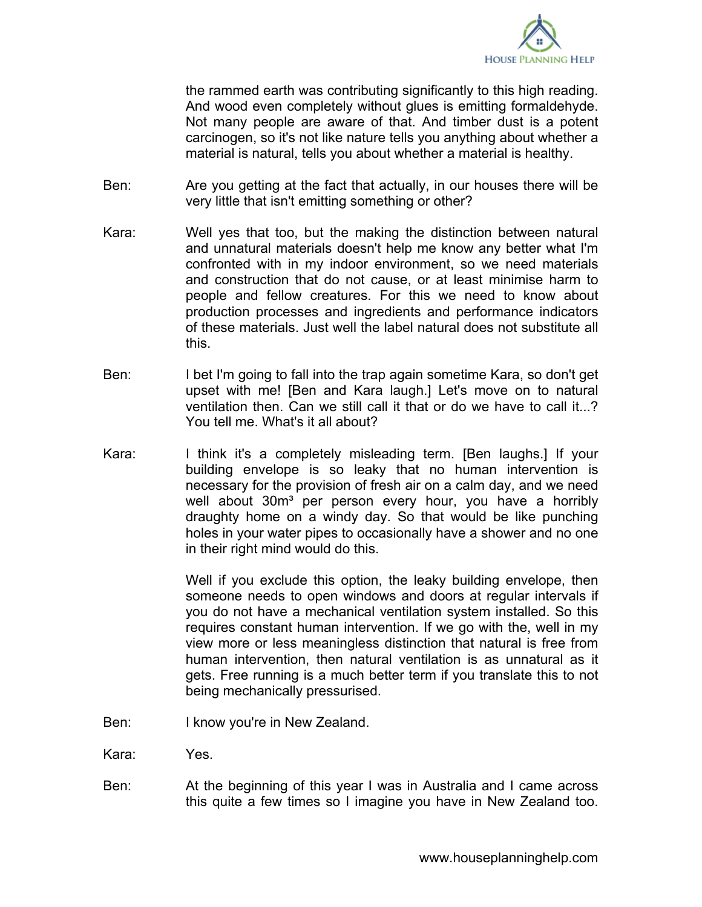

the rammed earth was contributing significantly to this high reading. And wood even completely without glues is emitting formaldehyde. Not many people are aware of that. And timber dust is a potent carcinogen, so it's not like nature tells you anything about whether a material is natural, tells you about whether a material is healthy.

- Ben: Are you getting at the fact that actually, in our houses there will be very little that isn't emitting something or other?
- Kara: Well yes that too, but the making the distinction between natural and unnatural materials doesn't help me know any better what I'm confronted with in my indoor environment, so we need materials and construction that do not cause, or at least minimise harm to people and fellow creatures. For this we need to know about production processes and ingredients and performance indicators of these materials. Just well the label natural does not substitute all this.
- Ben: I bet I'm going to fall into the trap again sometime Kara, so don't get upset with me! [Ben and Kara laugh.] Let's move on to natural ventilation then. Can we still call it that or do we have to call it...? You tell me. What's it all about?
- Kara: I think it's a completely misleading term. [Ben laughs.] If your building envelope is so leaky that no human intervention is necessary for the provision of fresh air on a calm day, and we need well about 30m<sup>3</sup> per person every hour, you have a horribly draughty home on a windy day. So that would be like punching holes in your water pipes to occasionally have a shower and no one in their right mind would do this.

Well if you exclude this option, the leaky building envelope, then someone needs to open windows and doors at regular intervals if you do not have a mechanical ventilation system installed. So this requires constant human intervention. If we go with the, well in my view more or less meaningless distinction that natural is free from human intervention, then natural ventilation is as unnatural as it gets. Free running is a much better term if you translate this to not being mechanically pressurised.

- Ben: I know you're in New Zealand.
- Kara: Yes.
- Ben: At the beginning of this year I was in Australia and I came across this quite a few times so I imagine you have in New Zealand too.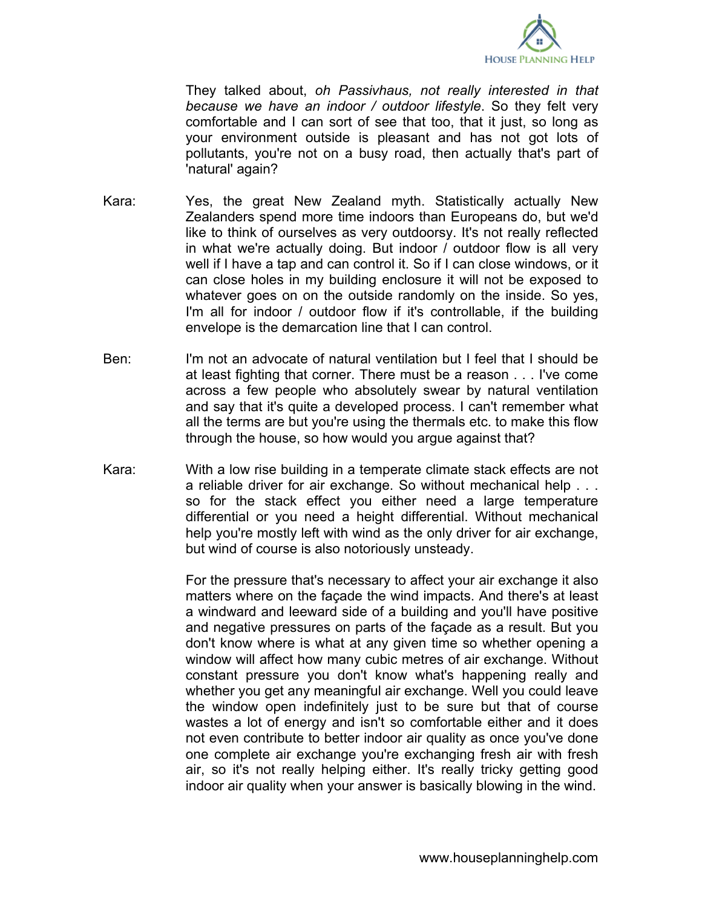

They talked about, *oh Passivhaus, not really interested in that because we have an indoor / outdoor lifestyle*. So they felt very comfortable and I can sort of see that too, that it just, so long as your environment outside is pleasant and has not got lots of pollutants, you're not on a busy road, then actually that's part of 'natural' again?

- Kara: Yes, the great New Zealand myth. Statistically actually New Zealanders spend more time indoors than Europeans do, but we'd like to think of ourselves as very outdoorsy. It's not really reflected in what we're actually doing. But indoor / outdoor flow is all very well if I have a tap and can control it. So if I can close windows, or it can close holes in my building enclosure it will not be exposed to whatever goes on on the outside randomly on the inside. So yes, I'm all for indoor / outdoor flow if it's controllable, if the building envelope is the demarcation line that I can control.
- Ben: I'm not an advocate of natural ventilation but I feel that I should be at least fighting that corner. There must be a reason . . . I've come across a few people who absolutely swear by natural ventilation and say that it's quite a developed process. I can't remember what all the terms are but you're using the thermals etc. to make this flow through the house, so how would you argue against that?
- Kara: With a low rise building in a temperate climate stack effects are not a reliable driver for air exchange. So without mechanical help . . . so for the stack effect you either need a large temperature differential or you need a height differential. Without mechanical help you're mostly left with wind as the only driver for air exchange, but wind of course is also notoriously unsteady.

For the pressure that's necessary to affect your air exchange it also matters where on the façade the wind impacts. And there's at least a windward and leeward side of a building and you'll have positive and negative pressures on parts of the façade as a result. But you don't know where is what at any given time so whether opening a window will affect how many cubic metres of air exchange. Without constant pressure you don't know what's happening really and whether you get any meaningful air exchange. Well you could leave the window open indefinitely just to be sure but that of course wastes a lot of energy and isn't so comfortable either and it does not even contribute to better indoor air quality as once you've done one complete air exchange you're exchanging fresh air with fresh air, so it's not really helping either. It's really tricky getting good indoor air quality when your answer is basically blowing in the wind.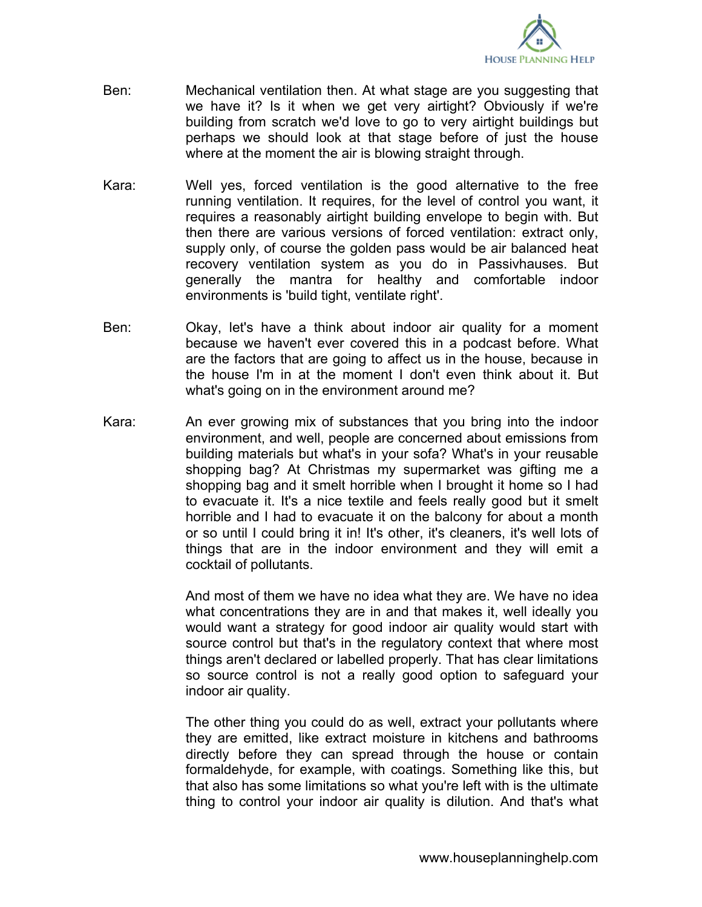

- Ben: Mechanical ventilation then. At what stage are you suggesting that we have it? Is it when we get very airtight? Obviously if we're building from scratch we'd love to go to very airtight buildings but perhaps we should look at that stage before of just the house where at the moment the air is blowing straight through.
- Kara: Well yes, forced ventilation is the good alternative to the free running ventilation. It requires, for the level of control you want, it requires a reasonably airtight building envelope to begin with. But then there are various versions of forced ventilation: extract only, supply only, of course the golden pass would be air balanced heat recovery ventilation system as you do in Passivhauses. But generally the mantra for healthy and comfortable indoor environments is 'build tight, ventilate right'.
- Ben: Okay, let's have a think about indoor air quality for a moment because we haven't ever covered this in a podcast before. What are the factors that are going to affect us in the house, because in the house I'm in at the moment I don't even think about it. But what's going on in the environment around me?
- Kara: An ever growing mix of substances that you bring into the indoor environment, and well, people are concerned about emissions from building materials but what's in your sofa? What's in your reusable shopping bag? At Christmas my supermarket was gifting me a shopping bag and it smelt horrible when I brought it home so I had to evacuate it. It's a nice textile and feels really good but it smelt horrible and I had to evacuate it on the balcony for about a month or so until I could bring it in! It's other, it's cleaners, it's well lots of things that are in the indoor environment and they will emit a cocktail of pollutants.

And most of them we have no idea what they are. We have no idea what concentrations they are in and that makes it, well ideally you would want a strategy for good indoor air quality would start with source control but that's in the regulatory context that where most things aren't declared or labelled properly. That has clear limitations so source control is not a really good option to safeguard your indoor air quality.

The other thing you could do as well, extract your pollutants where they are emitted, like extract moisture in kitchens and bathrooms directly before they can spread through the house or contain formaldehyde, for example, with coatings. Something like this, but that also has some limitations so what you're left with is the ultimate thing to control your indoor air quality is dilution. And that's what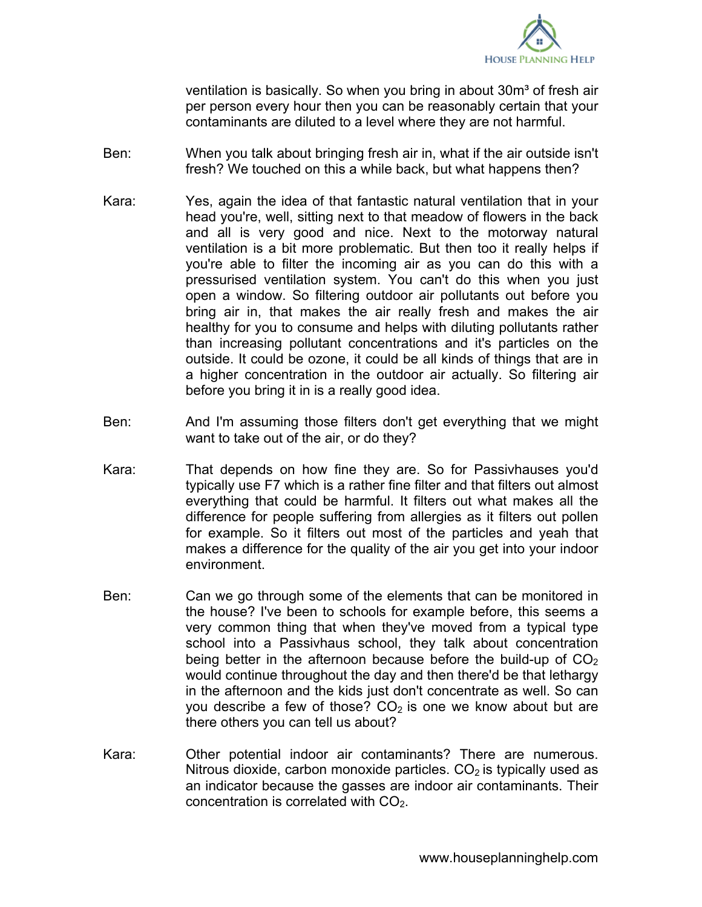

ventilation is basically. So when you bring in about  $30m<sup>3</sup>$  of fresh air per person every hour then you can be reasonably certain that your contaminants are diluted to a level where they are not harmful.

- Ben: When you talk about bringing fresh air in, what if the air outside isn't fresh? We touched on this a while back, but what happens then?
- Kara: Yes, again the idea of that fantastic natural ventilation that in your head you're, well, sitting next to that meadow of flowers in the back and all is very good and nice. Next to the motorway natural ventilation is a bit more problematic. But then too it really helps if you're able to filter the incoming air as you can do this with a pressurised ventilation system. You can't do this when you just open a window. So filtering outdoor air pollutants out before you bring air in, that makes the air really fresh and makes the air healthy for you to consume and helps with diluting pollutants rather than increasing pollutant concentrations and it's particles on the outside. It could be ozone, it could be all kinds of things that are in a higher concentration in the outdoor air actually. So filtering air before you bring it in is a really good idea.
- Ben: And I'm assuming those filters don't get everything that we might want to take out of the air, or do they?
- Kara: That depends on how fine they are. So for Passivhauses you'd typically use F7 which is a rather fine filter and that filters out almost everything that could be harmful. It filters out what makes all the difference for people suffering from allergies as it filters out pollen for example. So it filters out most of the particles and yeah that makes a difference for the quality of the air you get into your indoor environment.
- Ben: Can we go through some of the elements that can be monitored in the house? I've been to schools for example before, this seems a very common thing that when they've moved from a typical type school into a Passivhaus school, they talk about concentration being better in the afternoon because before the build-up of  $CO<sub>2</sub>$ would continue throughout the day and then there'd be that lethargy in the afternoon and the kids just don't concentrate as well. So can you describe a few of those?  $CO<sub>2</sub>$  is one we know about but are there others you can tell us about?
- Kara: Other potential indoor air contaminants? There are numerous. Nitrous dioxide, carbon monoxide particles.  $CO<sub>2</sub>$  is typically used as an indicator because the gasses are indoor air contaminants. Their concentration is correlated with  $CO<sub>2</sub>$ .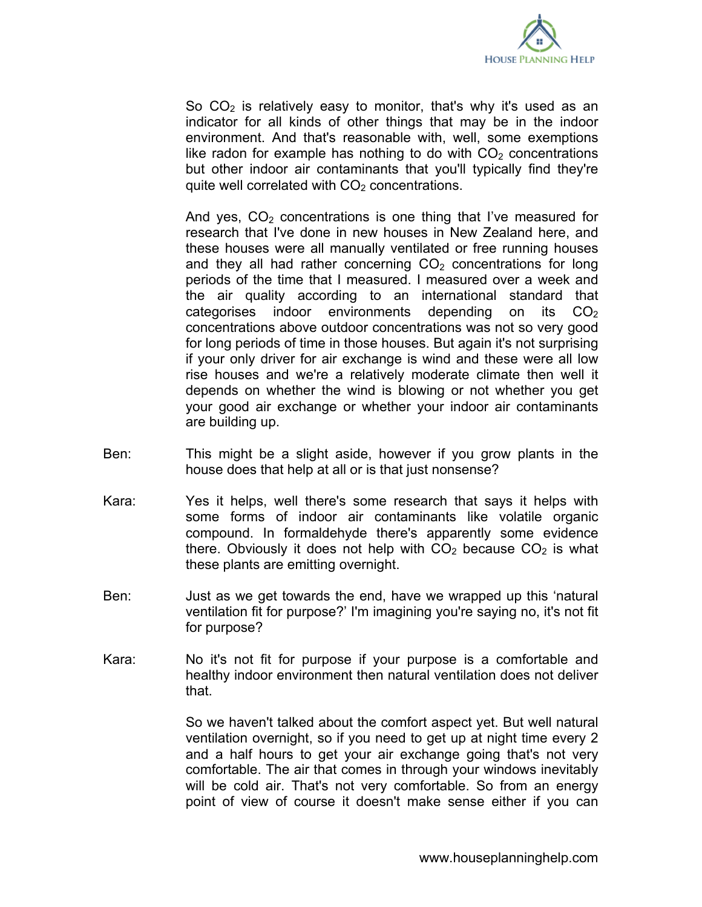

So  $CO<sub>2</sub>$  is relatively easy to monitor, that's why it's used as an indicator for all kinds of other things that may be in the indoor environment. And that's reasonable with, well, some exemptions like radon for example has nothing to do with  $CO<sub>2</sub>$  concentrations but other indoor air contaminants that you'll typically find they're quite well correlated with  $CO<sub>2</sub>$  concentrations.

And yes,  $CO<sub>2</sub>$  concentrations is one thing that I've measured for research that I've done in new houses in New Zealand here, and these houses were all manually ventilated or free running houses and they all had rather concerning  $CO<sub>2</sub>$  concentrations for long periods of the time that I measured. I measured over a week and the air quality according to an international standard that categorises indoor environments depending on its  $CO<sub>2</sub>$ concentrations above outdoor concentrations was not so very good for long periods of time in those houses. But again it's not surprising if your only driver for air exchange is wind and these were all low rise houses and we're a relatively moderate climate then well it depends on whether the wind is blowing or not whether you get your good air exchange or whether your indoor air contaminants are building up.

- Ben: This might be a slight aside, however if you grow plants in the house does that help at all or is that just nonsense?
- Kara: Yes it helps, well there's some research that says it helps with some forms of indoor air contaminants like volatile organic compound. In formaldehyde there's apparently some evidence there. Obviously it does not help with  $CO<sub>2</sub>$  because  $CO<sub>2</sub>$  is what these plants are emitting overnight.
- Ben: Just as we get towards the end, have we wrapped up this 'natural ventilation fit for purpose?' I'm imagining you're saying no, it's not fit for purpose?
- Kara: No it's not fit for purpose if your purpose is a comfortable and healthy indoor environment then natural ventilation does not deliver that.

So we haven't talked about the comfort aspect yet. But well natural ventilation overnight, so if you need to get up at night time every 2 and a half hours to get your air exchange going that's not very comfortable. The air that comes in through your windows inevitably will be cold air. That's not very comfortable. So from an energy point of view of course it doesn't make sense either if you can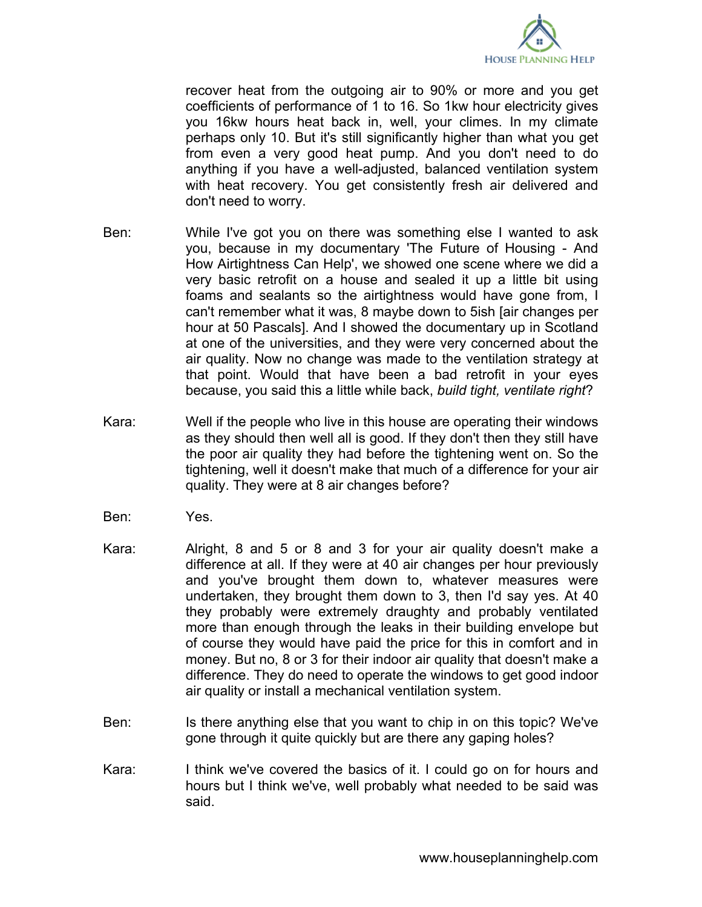

recover heat from the outgoing air to 90% or more and you get coefficients of performance of 1 to 16. So 1kw hour electricity gives you 16kw hours heat back in, well, your climes. In my climate perhaps only 10. But it's still significantly higher than what you get from even a very good heat pump. And you don't need to do anything if you have a well-adjusted, balanced ventilation system with heat recovery. You get consistently fresh air delivered and don't need to worry.

- Ben: While I've got you on there was something else I wanted to ask you, because in my documentary 'The Future of Housing - And How Airtightness Can Help', we showed one scene where we did a very basic retrofit on a house and sealed it up a little bit using foams and sealants so the airtightness would have gone from, I can't remember what it was, 8 maybe down to 5ish [air changes per hour at 50 Pascals]. And I showed the documentary up in Scotland at one of the universities, and they were very concerned about the air quality. Now no change was made to the ventilation strategy at that point. Would that have been a bad retrofit in your eyes because, you said this a little while back, *build tight, ventilate right*?
- Kara: Well if the people who live in this house are operating their windows as they should then well all is good. If they don't then they still have the poor air quality they had before the tightening went on. So the tightening, well it doesn't make that much of a difference for your air quality. They were at 8 air changes before?
- Ben: Yes.
- Kara: Alright, 8 and 5 or 8 and 3 for your air quality doesn't make a difference at all. If they were at 40 air changes per hour previously and you've brought them down to, whatever measures were undertaken, they brought them down to 3, then I'd say yes. At 40 they probably were extremely draughty and probably ventilated more than enough through the leaks in their building envelope but of course they would have paid the price for this in comfort and in money. But no, 8 or 3 for their indoor air quality that doesn't make a difference. They do need to operate the windows to get good indoor air quality or install a mechanical ventilation system.
- Ben: Is there anything else that you want to chip in on this topic? We've gone through it quite quickly but are there any gaping holes?
- Kara: I think we've covered the basics of it. I could go on for hours and hours but I think we've, well probably what needed to be said was said.